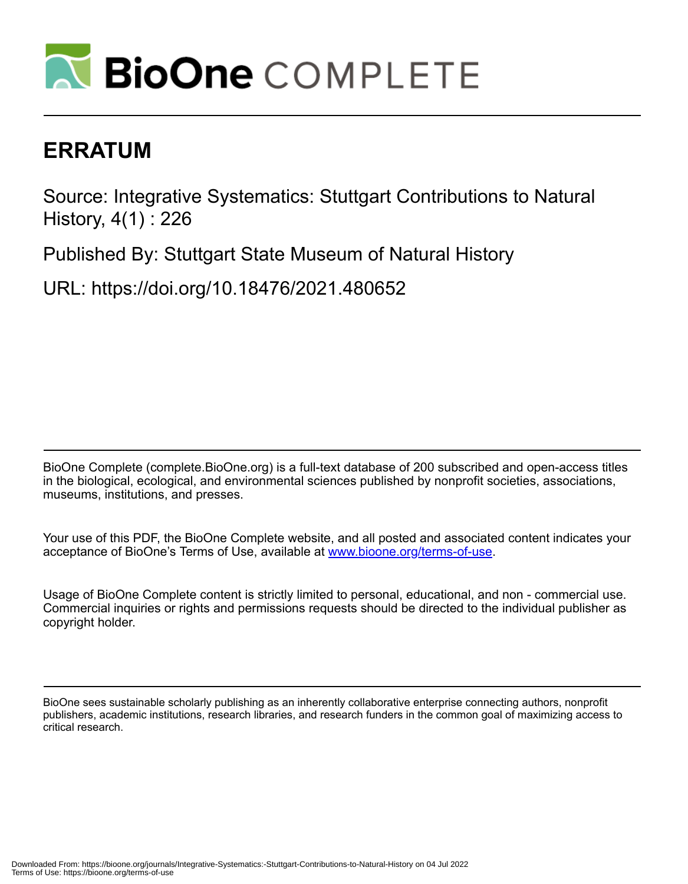

# **ERRATUM**

Source: Integrative Systematics: Stuttgart Contributions to Natural History, 4(1) : 226

Published By: Stuttgart State Museum of Natural History

URL: https://doi.org/10.18476/2021.480652

BioOne Complete (complete.BioOne.org) is a full-text database of 200 subscribed and open-access titles in the biological, ecological, and environmental sciences published by nonprofit societies, associations, museums, institutions, and presses.

Your use of this PDF, the BioOne Complete website, and all posted and associated content indicates your acceptance of BioOne's Terms of Use, available at www.bioone.org/terms-of-use.

Usage of BioOne Complete content is strictly limited to personal, educational, and non - commercial use. Commercial inquiries or rights and permissions requests should be directed to the individual publisher as copyright holder.

BioOne sees sustainable scholarly publishing as an inherently collaborative enterprise connecting authors, nonprofit publishers, academic institutions, research libraries, and research funders in the common goal of maximizing access to critical research.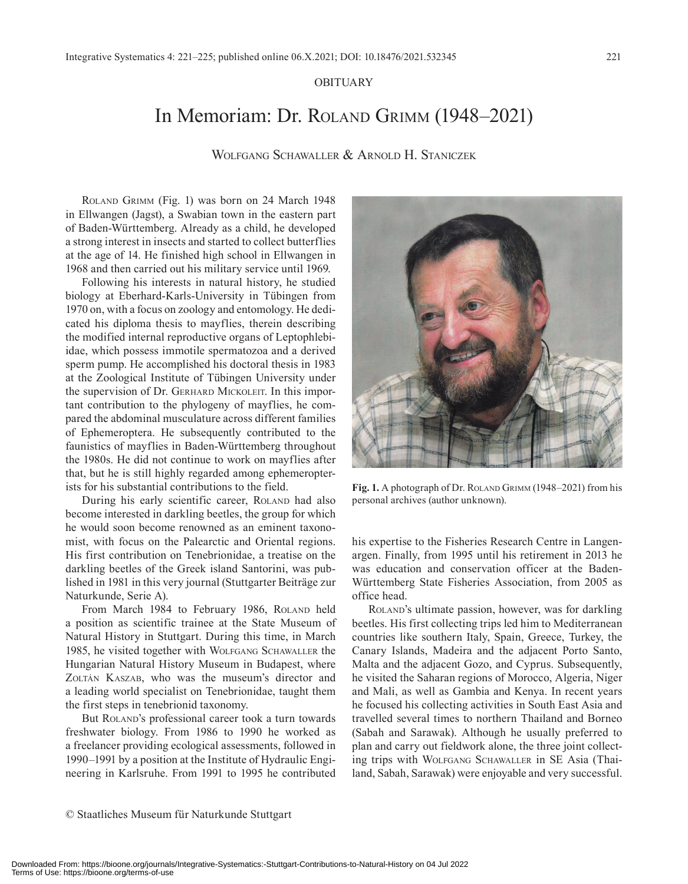### OBITUARY

# In Memoriam: Dr. Roland Grimm (1948–2021)

Wolfgang Schawaller & Arnold H. Staniczek

Roland Grimm (Fig. 1) was born on 24 March 1948 in Ellwangen (Jagst), a Swabian town in the eastern part of Baden-Württemberg. Already as a child, he developed a strong interest in insects and started to collect butterflies at the age of 14. He finished high school in Ellwangen in 1968 and then carried out his military service until 1969.

Following his interests in natural history, he studied biology at Eberhard-Karls-University in Tübingen from 1970 on, with a focus on zoology and entomology. He dedicated his diploma thesis to mayflies, therein describing the modified internal reproductive organs of Leptophlebiidae, which possess immotile spermatozoa and a derived sperm pump. He accomplished his doctoral thesis in 1983 at the Zoological Institute of Tübingen University under the supervision of Dr. Gerhard Mickoleit. In this important contribution to the phylogeny of mayflies, he compared the abdominal musculature across different families of Ephemeroptera. He subsequently contributed to the faunistics of mayflies in Baden-Württemberg throughout the 1980s. He did not continue to work on mayflies after that, but he is still highly regarded among ephemeropterists for his substantial contributions to the field.

During his early scientific career, ROLAND had also become interested in darkling beetles, the group for which he would soon become renowned as an eminent taxonomist, with focus on the Palearctic and Oriental regions. His first contribution on Tenebrionidae, a treatise on the darkling beetles of the Greek island Santorini, was published in 1981 in this very journal (Stuttgarter Beiträge zur Naturkunde, Serie A).

From March 1984 to February 1986, ROLAND held a position as scientific trainee at the State Museum of Natural History in Stuttgart. During this time, in March 1985, he visited together with WOLFGANG SCHAWALLER the Hungarian Natural History Museum in Budapest, where ZOLTÁN KASZAB, who was the museum's director and a leading world specialist on Tenebrionidae, taught them the first steps in tenebrionid taxonomy.

But ROLAND's professional career took a turn towards freshwater biology. From 1986 to 1990 he worked as a freelancer providing ecological assessments, followed in 1990–1991 by a position at the Institute of Hydraulic Engineering in Karlsruhe. From 1991 to 1995 he contributed

Fig. 1. A photograph of Dr. ROLAND GRIMM (1948–2021) from his personal archives (author unknown).

his expertise to the Fisheries Research Centre in Langenargen. Finally, from 1995 until his retirement in 2013 he was education and conservation officer at the Baden-Württemberg State Fisheries Association, from 2005 as office head.

Roland's ultimate passion, however, was for darkling beetles. His first collecting trips led him to Mediterranean countries like southern Italy, Spain, Greece, Turkey, the Canary Islands, Madeira and the adjacent Porto Santo, Malta and the adjacent Gozo, and Cyprus. Subsequently, he visited the Saharan regions of Morocco, Algeria, Niger and Mali, as well as Gambia and Kenya. In recent years he focused his collecting activities in South East Asia and travelled several times to northern Thailand and Borneo (Sabah and Sarawak). Although he usually preferred to plan and carry out fieldwork alone, the three joint collecting trips with Wolfgang Schawaller in SE Asia (Thailand, Sabah, Sarawak) were enjoyable and very successful.

© Staatliches Museum für Naturkunde Stuttgart

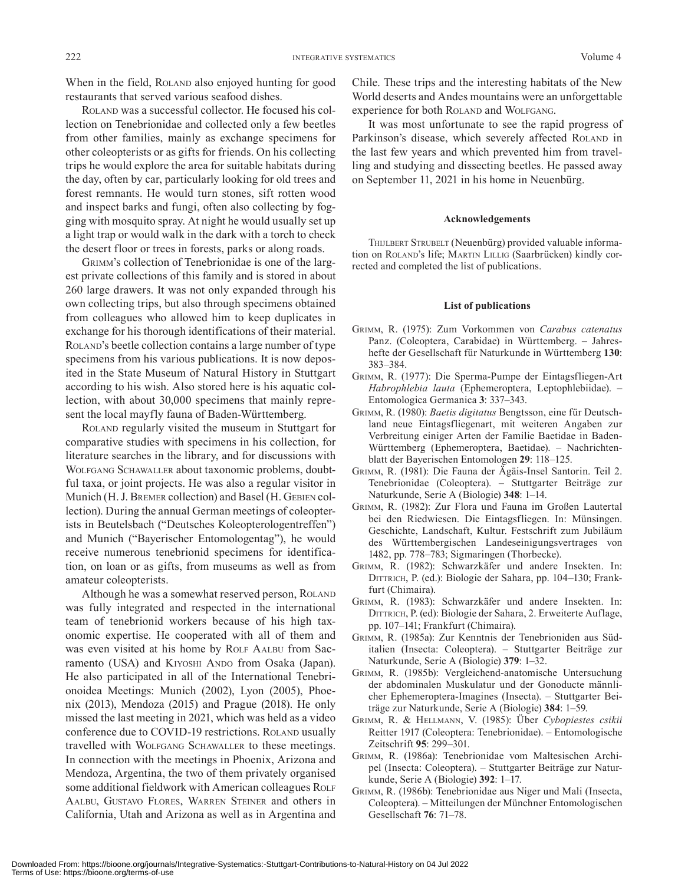When in the field, ROLAND also enjoyed hunting for good restaurants that served various seafood dishes.

Roland was a successful collector. He focused his collection on Tenebrionidae and collected only a few beetles from other families, mainly as exchange specimens for other coleopterists or as gifts for friends. On his collecting trips he would explore the area for suitable habitats during the day, often by car, particularly looking for old trees and forest remnants. He would turn stones, sift rotten wood and inspect barks and fungi, often also collecting by fogging with mosquito spray. At night he would usually set up a light trap or would walk in the dark with a torch to check the desert floor or trees in forests, parks or along roads.

Grimm's collection of Tenebrionidae is one of the largest private collections of this family and is stored in about 260 large drawers. It was not only expanded through his own collecting trips, but also through specimens obtained from colleagues who allowed him to keep duplicates in exchange for his thorough identifications of their material. ROLAND's beetle collection contains a large number of type specimens from his various publications. It is now deposited in the State Museum of Natural History in Stuttgart according to his wish. Also stored here is his aquatic collection, with about 30,000 specimens that mainly represent the local mayfly fauna of Baden-Württemberg.

Roland regularly visited the museum in Stuttgart for comparative studies with specimens in his collection, for literature searches in the library, and for discussions with Wolfgang Schawaller about taxonomic problems, doubtful taxa, or joint projects. He was also a regular visitor in Munich (H. J. Bremer collection) and Basel (H. Gebien collection). During the annual German meetings of coleopterists in Beutelsbach ("Deutsches Koleopterologentreffen") and Munich ("Bayerischer Entomologentag"), he would receive numerous tenebrionid specimens for identification, on loan or as gifts, from museums as well as from amateur coleopterists.

Although he was a somewhat reserved person, ROLAND was fully integrated and respected in the international team of tenebrionid workers because of his high taxonomic expertise. He cooperated with all of them and was even visited at his home by ROLF AALBU from Sacramento (USA) and KIYOSHI ANDO from Osaka (Japan). He also participated in all of the International Tenebrionoidea Meetings: Munich (2002), Lyon (2005), Phoenix (2013), Mendoza (2015) and Prague (2018). He only missed the last meeting in 2021, which was held as a video conference due to COVID-19 restrictions. ROLAND usually travelled with Wolfgang Schawaller to these meetings. In connection with the meetings in Phoenix, Arizona and Mendoza, Argentina, the two of them privately organised some additional fieldwork with American colleagues ROLF Aalbu, Gustavo Flores, Warren Steiner and others in California, Utah and Arizona as well as in Argentina and Chile. These trips and the interesting habitats of the New World deserts and Andes mountains were an unforgettable experience for both ROLAND and WOLFGANG.

It was most unfortunate to see the rapid progress of Parkinson's disease, which severely affected ROLAND in the last few years and which prevented him from travelling and studying and dissecting beetles. He passed away on September 11, 2021 in his home in Neuenbürg.

#### **Acknowledgements**

THIJLBERT STRUBELT (Neuenbürg) provided valuable information on ROLAND's life; MARTIN LILLIG (Saarbrücken) kindly corrected and completed the list of publications.

#### **List of publications**

- Grimm, R. (1975): Zum Vorkommen von *Carabus catenatus* Panz. (Coleoptera, Carabidae) in Württemberg. – Jahreshefte der Gesellschaft für Naturkunde in Württemberg **130**: 383–384.
- Grimm, R. (1977): Die Sperma-Pumpe der Eintagsfliegen-Art *Habrophlebia lauta* (Ephemeroptera, Leptophlebiidae). – Entomologica Germanica **3**: 337–343.
- Grimm, R. (1980): *Baetis digitatus* Bengtsson, eine für Deutschland neue Eintagsfliegenart, mit weiteren Angaben zur Verbreitung einiger Arten der Familie Baetidae in Baden-Württemberg (Ephemeroptera, Baetidae). – Nachrichtenblatt der Bayerischen Entomologen **29**: 118–125.
- Grimm, R. (1981): Die Fauna der Ägäis-Insel Santorin. Teil 2. Tenebrionidae (Coleoptera). – Stuttgarter Beiträge zur Naturkunde, Serie A (Biologie) **348**: 1–14.
- Grimm, R. (1982): Zur Flora und Fauna im Großen Lautertal bei den Riedwiesen. Die Eintagsfliegen. In: Münsingen. Geschichte, Landschaft, Kultur. Festschrift zum Jubiläum des Württembergischen Landeseinigungsvertrages von 1482, pp. 778–783; Sigmaringen (Thorbecke).
- Grimm, R. (1982): Schwarzkäfer und andere Insekten. In: DITTRICH, P. (ed.): Biologie der Sahara, pp. 104–130; Frankfurt (Chimaira).
- Grimm, R. (1983): Schwarzkäfer und andere Insekten. In: DITTRICH, P. (ed): Biologie der Sahara, 2. Erweiterte Auflage, pp. 107–141; Frankfurt (Chimaira).
- Grimm, R. (1985a): Zur Kenntnis der Tenebrioniden aus Süditalien (Insecta: Coleoptera). – Stuttgarter Beiträge zur Naturkunde, Serie A (Biologie) **379**: 1–32.
- Grimm, R. (1985b): Vergleichend-anatomische Untersuchung der abdominalen Muskulatur und der Gonoducte männlicher Ephemeroptera-Imagines (Insecta). – Stuttgarter Beiträge zur Naturkunde, Serie A (Biologie) **384**: 1–59.
- Grimm, R. & Hellmann, V. (1985): Über *Cybopiestes csikii* Reitter 1917 (Coleoptera: Tenebrionidae). – Entomologische Zeitschrift **95**: 299–301.
- Grimm, R. (1986a): Tenebrionidae vom Maltesischen Archipel (Insecta: Coleoptera). – Stuttgarter Beiträge zur Naturkunde, Serie A (Biologie) **392**: 1–17.
- Grimm, R. (1986b): Tenebrionidae aus Niger und Mali (Insecta, Coleoptera). – Mitteilungen der Münchner Entomologischen Gesellschaft **76**: 71–78.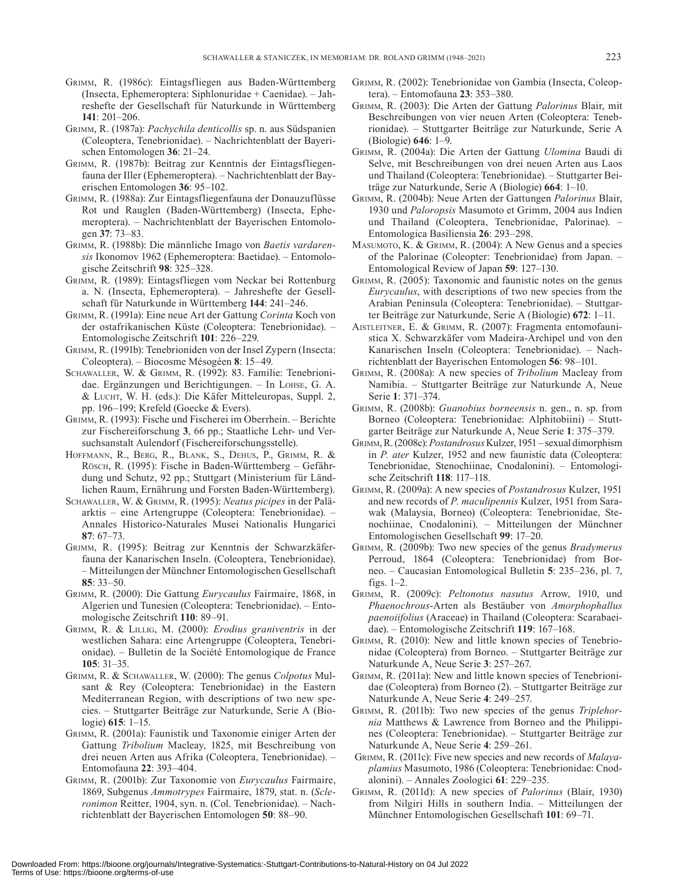- Grimm, R. (1986c): Eintagsfliegen aus Baden-Württemberg (Insecta, Ephemeroptera: Siphlonuridae + Caenidae). – Jahreshefte der Gesellschaft für Naturkunde in Württemberg **141**: 201–206.
- Grimm, R. (1987a): *Pachychila denticollis* sp. n. aus Südspanien (Coleoptera, Tenebrionidae). – Nachrichtenblatt der Bayerischen Entomologen **36**: 21–24.
- Grimm, R. (1987b): Beitrag zur Kenntnis der Eintagsfliegenfauna der Iller (Ephemeroptera). – Nachrichtenblatt der Bayerischen Entomologen **36**: 95–102.
- Grimm, R. (1988a): Zur Eintagsfliegenfauna der Donauzuflüsse Rot und Rauglen (Baden-Württemberg) (Insecta, Ephemeroptera). – Nachrichtenblatt der Bayerischen Entomologen **37**: 73–83.
- Grimm, R. (1988b): Die männliche Imago von *Baetis vardarensis* Ikonomov 1962 (Ephemeroptera: Baetidae). – Entomologische Zeitschrift **98**: 325–328.
- Grimm, R. (1989): Eintagsfliegen vom Neckar bei Rottenburg a. N. (Insecta, Ephemeroptera). – Jahreshefte der Gesellschaft für Naturkunde in Württemberg **144**: 241–246.
- Grimm, R. (1991a): Eine neue Art der Gattung *Corinta* Koch von der ostafrikanischen Küste (Coleoptera: Tenebrionidae). – Entomologische Zeitschrift **101**: 226–229.
- Grimm, R. (1991b): Tenebrioniden von der Insel Zypern (Insecta: Coleoptera). – Biocosme Mésogéen **8**: 15–49.
- Schawaller, W. & Grimm, R. (1992): 83. Familie: Tenebrionidae. Ergänzungen und Berichtigungen. – In LOHSE, G. A.  $&$  Lucht, W. H. (eds.): Die Käfer Mitteleuropas, Suppl. 2, pp. 196–199; Krefeld (Goecke & Evers).
- Grimm, R. (1993): Fische und Fischerei im Oberrhein. Berichte zur Fischereiforschung **3**, 66 pp.; Staatliche Lehr- und Versuchsanstalt Aulendorf (Fischereiforschungsstelle).
- Hoffmann, R., Berg, R., Blank, S., Dehus, P., Grimm, R. & Rösch, R. (1995): Fische in Baden-Württemberg – Gefährdung und Schutz, 92 pp.; Stuttgart (Ministerium für Ländlichen Raum, Ernährung und Forsten Baden-Württemberg).
- Schawaller, W. & Grimm, R. (1995): *Neatus picipes* in der Paläarktis – eine Artengruppe (Coleoptera: Tenebrionidae). – Annales Historico-Naturales Musei Nationalis Hungarici **87**: 67–73.
- Grimm, R. (1995): Beitrag zur Kenntnis der Schwarzkäferfauna der Kanarischen Inseln. (Coleoptera, Tenebrionidae). – Mitteilungen der Münchner Entomologischen Gesellschaft **85**: 33–50.
- Grimm, R. (2000): Die Gattung *Eurycaulus* Fairmaire, 1868, in Algerien und Tunesien (Coleoptera: Tenebrionidae). – Entomologische Zeitschrift **110**: 89–91.
- Grimm, R. & Lillig, M. (2000): *Erodius graniventris* in der westlichen Sahara: eine Artengruppe (Coleoptera, Tenebrionidae). – Bulletin de la Société Entomologique de France **105**: 31–35.
- Grimm, R. & Schawaller, W. (2000): The genus *Colpotus* Mulsant & Rey (Coleoptera: Tenebrionidae) in the Eastern Mediterranean Region, with descriptions of two new species. – Stuttgarter Beiträge zur Naturkunde, Serie A (Biologie) **615**: 1–15.
- Grimm, R. (2001a): Faunistik und Taxonomie einiger Arten der Gattung *Tribolium* Macleay, 1825, mit Beschreibung von drei neuen Arten aus Afrika (Coleoptera, Tenebrionidae). – Entomofauna **22**: 393–404.
- Grimm, R. (2001b): Zur Taxonomie von *Eurycaulus* Fairmaire, 1869, Subgenus *Ammotrypes* Fairmaire, 1879, stat. n. (*Scleronimon* Reitter, 1904, syn. n. (Col. Tenebrionidae). – Nachrichtenblatt der Bayerischen Entomologen **50**: 88–90.
- Grimm, R. (2002): Tenebrionidae von Gambia (Insecta, Coleoptera). – Entomofauna **23**: 353–380.
- Grimm, R. (2003): Die Arten der Gattung *Palorinus* Blair, mit Beschreibungen von vier neuen Arten (Coleoptera: Tenebrionidae). – Stuttgarter Beiträge zur Naturkunde, Serie A (Biologie) **646**: 1–9.
- Grimm, R. (2004a): Die Arten der Gattung *Ulomina* Baudi di Selve, mit Beschreibungen von drei neuen Arten aus Laos und Thailand (Coleoptera: Tenebrionidae). – Stuttgarter Beiträge zur Naturkunde, Serie A (Biologie) **664**: 1–10.
- Grimm, R. (2004b): Neue Arten der Gattungen *Palorinus* Blair, 1930 und *Paloropsis* Masumoto et Grimm, 2004 aus Indien und Thailand (Coleoptera, Tenebrionidae, Palorinae). – Entomologica Basiliensia **26**: 293–298.
- Masumoto, K. & Grimm, R. (2004): A New Genus and a species of the Palorinae (Coleopter: Tenebrionidae) from Japan. – Entomological Review of Japan **59**: 127–130.
- Grimm, R. (2005): Taxonomic and faunistic notes on the genus *Eurycaulus*, with descriptions of two new species from the Arabian Peninsula (Coleoptera: Tenebrionidae). – Stuttgarter Beiträge zur Naturkunde, Serie A (Biologie) **672**: 1–11.
- Aistleitner, E. & Grimm, R. (2007): Fragmenta entomofaunistica X. Schwarzkäfer vom Madeira-Archipel und von den Kanarischen Inseln (Coleoptera: Tenebrionidae). – Nachrichtenblatt der Bayerischen Entomologen **56**: 98–101.
- Grimm, R. (2008a): A new species of *Tribolium* Macleay from Namibia. – Stuttgarter Beiträge zur Naturkunde A, Neue Serie **1**: 371–374.
- Grimm, R. (2008b): *Guanobius borneensis* n. gen., n. sp. from Borneo (Coleoptera: Tenebrionidae: Alphitobiini) – Stuttgarter Beiträge zur Naturkunde A, Neue Serie **1**: 375–379.
- Grimm, R. (2008c): *Postandrosus* Kulzer, 1951 sexual dimorphism in *P. ater* Kulzer, 1952 and new faunistic data (Coleoptera: Tenebrionidae, Stenochiinae, Cnodalonini). – Entomologische Zeitschrift **118**: 117–118.
- Grimm, R. (2009a): A new species of *Postandrosus* Kulzer, 1951 and new records of *P. maculipennis* Kulzer, 1951 from Sarawak (Malaysia, Borneo) (Coleoptera: Tenebrionidae, Stenochiinae, Cnodalonini). – Mitteilungen der Münchner Entomologischen Gesellschaft **99**: 17–20.
- Grimm, R. (2009b): Two new species of the genus *Bradymerus* Perroud, 1864 (Coleoptera: Tenebrionidae) from Borneo. – Caucasian Entomological Bulletin **5**: 235–236, pl. 7, figs. 1–2.
- Grimm, R. (2009c): *Peltonotus nasutus* Arrow, 1910, und *Phaenochrous*-Arten als Bestäuber von *Amorphophallus paenoiifolius* (Araceae) in Thailand (Coleoptera: Scarabaeidae). – Entomologische Zeitschrift **119**: 167–168.
- Grimm, R. (2010): New and little known species of Tenebrionidae (Coleoptera) from Borneo. – Stuttgarter Beiträge zur Naturkunde A, Neue Serie **3**: 257–267.
- Grimm, R. (2011a): New and little known species of Tenebrionidae (Coleoptera) from Borneo (2). – Stuttgarter Beiträge zur Naturkunde A, Neue Serie **4**: 249–257.
- Grimm, R. (2011b): Two new species of the genus *Triplehornia* Matthews & Lawrence from Borneo and the Philippines (Coleoptera: Tenebrionidae). – Stuttgarter Beiträge zur Naturkunde A, Neue Serie **4**: 259–261.
- Grimm, R. (2011c): Five new species and new records of *Malayaplamius* Masumoto, 1986 (Coleoptera: Tenebrionidae: Cnodalonini). – Annales Zoologici **61**: 229–235.
- Grimm, R. (2011d): A new species of *Palorinus* (Blair, 1930) from Nilgiri Hills in southern India. – Mitteilungen der Münchner Entomologischen Gesellschaft **101**: 69–71.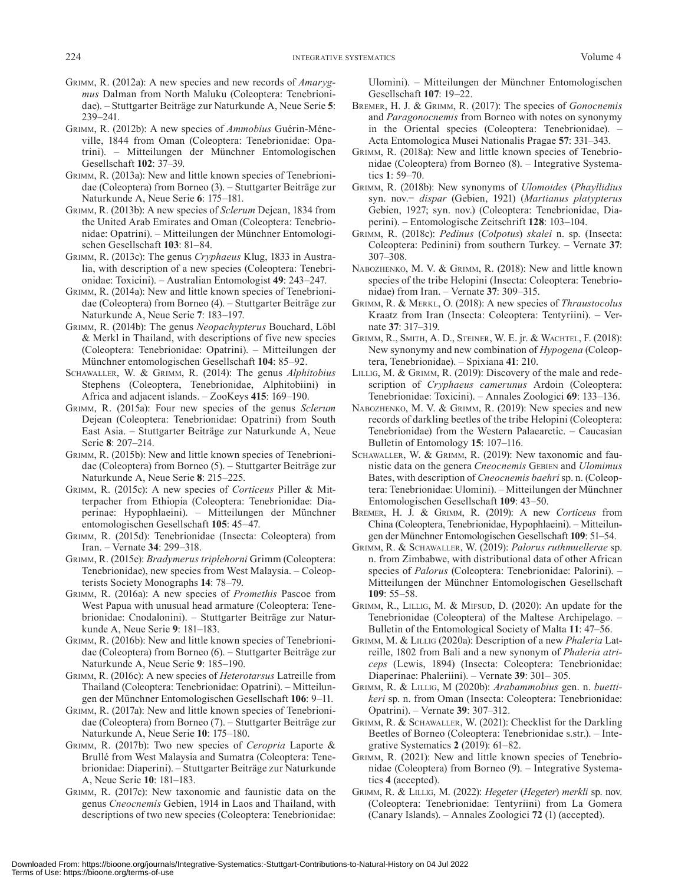- Grimm, R. (2012a): A new species and new records of *Amarygmus* Dalman from North Maluku (Coleoptera: Tenebrionidae). – Stuttgarter Beiträge zur Naturkunde A, Neue Serie **5**: 239–241.
- Grimm, R. (2012b): A new species of *Ammobius* Guérin-Méneville, 1844 from Oman (Coleoptera: Tenebrionidae: Opatrini). – Mitteilungen der Münchner Entomologischen Gesellschaft **102**: 37–39.
- Grimm, R. (2013a): New and little known species of Tenebrionidae (Coleoptera) from Borneo (3). – Stuttgarter Beiträge zur Naturkunde A, Neue Serie **6**: 175–181.
- Grimm, R. (2013b): A new species of *Sclerum* Dejean, 1834 from the United Arab Emirates and Oman (Coleoptera: Tenebrionidae: Opatrini). – Mitteilungen der Münchner Entomologischen Gesellschaft **103**: 81–84.
- Grimm, R. (2013c): The genus *Cryphaeus* Klug, 1833 in Australia, with description of a new species (Coleoptera: Tenebrionidae: Toxicini). – Australian Entomologist **49**: 243–247.
- Grimm, R. (2014a): New and little known species of Tenebrionidae (Coleoptera) from Borneo (4). – Stuttgarter Beiträge zur Naturkunde A, Neue Serie **7**: 183–197.
- Grimm, R. (2014b): The genus *Neopachypterus* Bouchard, Löbl & Merkl in Thailand, with descriptions of five new species (Coleoptera: Tenebrionidae: Opatrini). – Mitteilungen der Münchner entomologischen Gesellschaft **104**: 85–92.
- Schawaller, W. & Grimm, R. (2014): The genus *Alphitobius* Stephens (Coleoptera, Tenebrionidae, Alphitobiini) in Africa and adjacent islands. – ZooKeys **415**: 169–190.
- Grimm, R. (2015a): Four new species of the genus *Sclerum* Dejean (Coleoptera: Tenebrionidae: Opatrini) from South East Asia. – Stuttgarter Beiträge zur Naturkunde A, Neue Serie **8**: 207–214.
- Grimm, R. (2015b): New and little known species of Tenebrionidae (Coleoptera) from Borneo (5). – Stuttgarter Beiträge zur Naturkunde A, Neue Serie **8**: 215–225.
- Grimm, R. (2015c): A new species of *Corticeus* Piller & Mitterpacher from Ethiopia (Coleoptera: Tenebrionidae: Diaperinae: Hypophlaeini). – Mitteilungen der Münchner entomologischen Gesellschaft **105**: 45–47.
- Grimm, R. (2015d): Tenebrionidae (Insecta: Coleoptera) from Iran. – Vernate **34**: 299–318.
- Grimm, R. (2015e): *Bradymerus triplehorni* Grimm (Coleoptera: Tenebrionidae), new species from West Malaysia. – Coleopterists Society Monographs **14**: 78–79.
- Grimm, R. (2016a): A new species of *Promethis* Pascoe from West Papua with unusual head armature (Coleoptera: Tenebrionidae: Cnodalonini). – Stuttgarter Beiträge zur Naturkunde A, Neue Serie **9**: 181–183.
- Grimm, R. (2016b): New and little known species of Tenebrionidae (Coleoptera) from Borneo (6). – Stuttgarter Beiträge zur Naturkunde A, Neue Serie **9**: 185–190.
- Grimm, R. (2016c): A new species of *Heterotarsus* Latreille from Thailand (Coleoptera: Tenebrionidae: Opatrini). – Mitteilungen der Münchner Entomologischen Gesellschaft **106**: 9–11.
- Grimm, R. (2017a): New and little known species of Tenebrionidae (Coleoptera) from Borneo (7). – Stuttgarter Beiträge zur Naturkunde A, Neue Serie **10**: 175–180.
- Grimm, R. (2017b): Two new species of *Ceropria* Laporte & Brullé from West Malaysia and Sumatra (Coleoptera: Tenebrionidae: Diaperini). – Stuttgarter Beiträge zur Naturkunde A, Neue Serie **10**: 181–183.
- Grimm, R. (2017c): New taxonomic and faunistic data on the genus *Cneocnemis* Gebien, 1914 in Laos and Thailand, with descriptions of two new species (Coleoptera: Tenebrionidae:

Ulomini). – Mitteilungen der Münchner Entomologischen Gesellschaft **107**: 19–22.

- Bremer, H. J. & Grimm, R. (2017): The species of *Gonocnemis* and *Paragonocnemis* from Borneo with notes on synonymy in the Oriental species (Coleoptera: Tenebrionidae). – Acta Entomologica Musei Nationalis Pragae **57**: 331–343.
- Grimm, R. (2018a): New and little known species of Tenebrionidae (Coleoptera) from Borneo (8). – Integrative Systematics **1**: 59–70.
- Grimm, R. (2018b): New synonyms of *Ulomoides* (*Phayllidius* syn. nov.= *dispar* (Gebien, 1921) (*Martianus platypterus* Gebien, 1927; syn. nov.) (Coleoptera: Tenebrionidae, Diaperini). – Entomologische Zeitschrift **128**: 103–104.
- Grimm, R. (2018c): *Pedinus* (*Colpotus*) *skalei* n. sp. (Insecta: Coleoptera: Pedinini) from southern Turkey. – Vernate **37**: 307–308.
- NABOZHENKO, M. V. & GRIMM, R. (2018): New and little known species of the tribe Helopini (Insecta: Coleoptera: Tenebrionidae) from Iran. – Vernate **37**: 309–315.
- Grimm, R. & Merkl, O. (2018): A new species of *Thraustocolus* Kraatz from Iran (Insecta: Coleoptera: Tentyriini). – Vernate **37**: 317–319.
- Grimm, R., Smith, A. D., Steiner, W. E. jr. & Wachtel, F. (2018): New synonymy and new combination of *Hypogena* (Coleoptera, Tenebrionidae). – Spixiana **41**: 210.
- LILLIG, M. & GRIMM, R. (2019): Discovery of the male and redescription of *Cryphaeus camerunus* Ardoin (Coleoptera: Tenebrionidae: Toxicini). – Annales Zoologici **69**: 133–136.
- NABOZHENKO, M. V. & GRIMM, R. (2019): New species and new records of darkling beetles of the tribe Helopini (Coleoptera: Tenebrionidae) from the Western Palaearctic. – Caucasian Bulletin of Entomology **15**: 107–116.
- SCHAWALLER, W. & GRIMM, R. (2019): New taxonomic and faunistic data on the genera *Cneocnemis* Gebien and *Ulomimus* Bates, with description of *Cneocnemis baehri* sp. n. (Coleoptera: Tenebrionidae: Ulomini). – Mitteilungen der Münchner Entomologischen Gesellschaft **109**: 43–50.
- Bremer, H. J. & Grimm, R. (2019): A new *Corticeus* from China (Coleoptera, Tenebrionidae, Hypophlaeini). – Mitteilungen der Münchner Entomologischen Gesellschaft **109**: 51–54.
- Grimm, R. & Schawaller, W. (2019): *Palorus ruthmuellerae* sp. n. from Zimbabwe, with distributional data of other African species of *Palorus* (Coleoptera: Tenebrionidae: Palorini). – Mitteilungen der Münchner Entomologischen Gesellschaft **109**: 55–58.
- GRIMM, R., LILLIG, M. & MIFSUD, D. (2020): An update for the Tenebrionidae (Coleoptera) of the Maltese Archipelago. – Bulletin of the Entomological Society of Malta **11**: 47–56.
- Grimm, M. & Lillig (2020a): Description of a new *Phaleria* Latreille, 1802 from Bali and a new synonym of *Phaleria atriceps* (Lewis, 1894) (Insecta: Coleoptera: Tenebrionidae: Diaperinae: Phaleriini). – Vernate **39**: 301– 305.
- Grimm, R. & Lillig, M (2020b): *Arabammobius* gen. n. *buettikeri* sp. n. from Oman (Insecta: Coleoptera: Tenebrionidae: Opatrini). – Vernate **39**: 307–312.
- Grimm, R. & Schawaller, W. (2021): Checklist for the Darkling Beetles of Borneo (Coleoptera: Tenebrionidae s.str.). – Integrative Systematics **2** (2019): 61–82.
- Grimm, R. (2021): New and little known species of Tenebrionidae (Coleoptera) from Borneo (9). – Integrative Systematics **4** (accepted).
- Grimm, R. & Lillig, M. (2022): *Hegeter* (*Hegeter*) *merkli* sp. nov. (Coleoptera: Tenebrionidae: Tentyriini) from La Gomera (Canary Islands). – Annales Zoologici **72** (1) (accepted).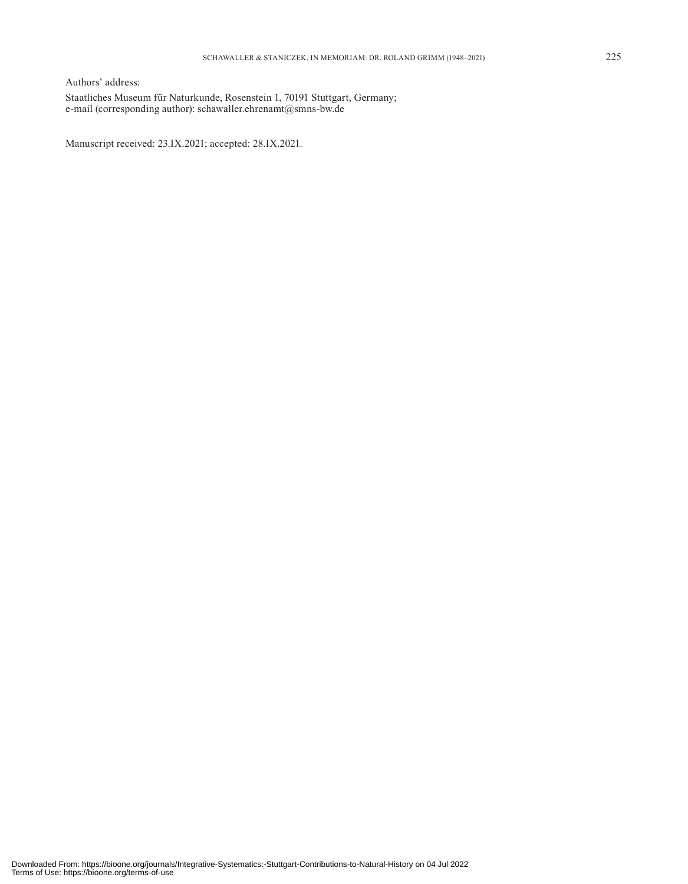Authors' address: Staatliches Museum für Naturkunde, Rosenstein 1, 70191 Stuttgart, Germany; e-mail (corresponding author): schawaller.ehrenamt@smns-bw.de

Manuscript received: 23.IX.2021; accepted: 28.IX.2021.